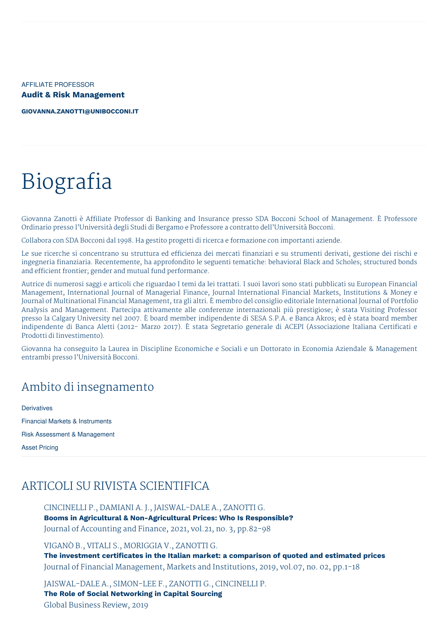AFFILIATE PROFESSOR **Audit & Risk Management**

**[GIOVANNA.ZANOTTI@UNIBOCCONI.IT](mailto:giovanna.zanotti@unibocconi.it)**

# Biografia

Giovanna Zanotti è Affiliate Professor di Banking and Insurance presso SDA Bocconi School of Management. È Professore Ordinario presso l'Università degli Studi di Bergamo e Professore a contratto dell'Università Bocconi.

Collabora con SDA Bocconi dal 1998. Ha gestito progetti di ricerca e formazione con importanti aziende.

Le sue ricerche si concentrano su struttura ed efficienza dei mercati finanziari e su strumenti derivati, gestione dei rischi e ingegneria finanziaria. Recentemente, ha approfondito le seguenti tematiche: behavioral Black and Scholes; structured bonds and efficient frontier; gender and mutual fund performance.

Autrice di numerosi saggi e articoli che riguardao I temi da lei trattati. I suoi lavori sono stati pubblicati su European Financial Management, International Journal of Managerial Finance, Journal International Financial Markets, Institutions & Money e Journal of Multinational Financial Management, tra gli altri. È membro del consiglio editoriale International Journal of Portfolio Analysis and Management. Partecipa attivamente alle conferenze internazionali più prestigiose; è stata Visiting Professor presso la Calgary University nel 2007. È board member indipendente di SESA S.P.A. e Banca Akros; ed è stata board member indipendente di Banca Aletti (2012- Marzo 2017). È stata Segretario generale di ACEPI (Associazione Italiana Certificati e Prodotti di Iinvestimento).

Giovanna ha conseguito la Laurea in Discipline Economiche e Sociali e un Dottorato in Economia Aziendale & Management entrambi presso l'Università Bocconi.

## Ambito di insegnamento

**Derivatives** Financial Markets & Instruments Risk Assessment & Management Asset Pricing

## ARTICOLI SU RIVISTA SCIENTIFICA

CINCINELLI P., DAMIANI A. J., JAISWAL-DALE A., ZANOTTI G. **Booms in Agricultural & Non-Agricultural Prices: Who Is Responsible?** Journal of Accounting and Finance, 2021, vol.21, no. 3, pp.82-98

VIGANÒ B., VITALI S., MORIGGIA V., ZANOTTI G. **The investment certificates in the Italian market: a comparison of quoted and estimated prices** Journal of Financial Management, Markets and Institutions, 2019, vol.07, no. 02, pp.1-18

JAISWAL-DALE A., SIMON-LEE F., ZANOTTI G., CINCINELLI P. **The Role of Social Networking in Capital Sourcing** Global Business Review, 2019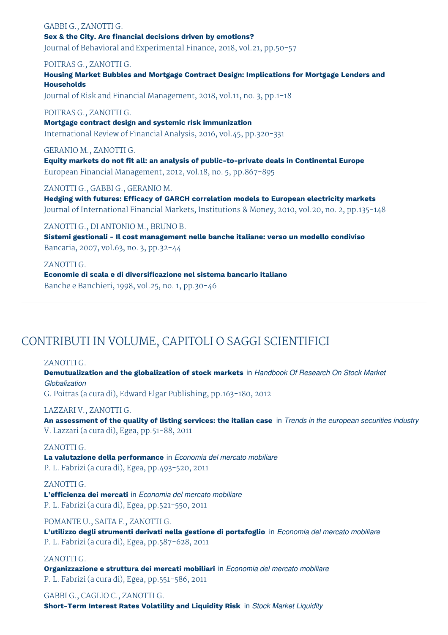GABBI G., ZANOTTI G. **Sex & the City. Are financial decisions driven by emotions?** Journal of Behavioral and Experimental Finance, 2018, vol.21, pp.50-57

POITRAS G., ZANOTTI G.

**Housing Market Bubbles and Mortgage Contract Design: Implications for Mortgage Lenders and Households**

Journal of Risk and Financial Management, 2018, vol.11, no. 3, pp.1-18

#### POITRAS G., ZANOTTI G.

**Mortgage contract design and systemic risk immunization** International Review of Financial Analysis, 2016, vol.45, pp.320-331

#### GERANIO M., ZANOTTI G.

**Equity markets do not fit all: an analysis of public-to-private deals in Continental Europe** European Financial Management, 2012, vol.18, no. 5, pp.867-895

ZANOTTI G., GABBI G., GERANIO M.

**Hedging with futures: Efficacy of GARCH correlation models to European electricity markets** Journal of International Financial Markets, Institutions & Money, 2010, vol.20, no. 2, pp.135-148

ZANOTTI G., DI ANTONIO M., BRUNO B. **Sistemi gestionali - Il cost management nelle banche italiane: verso un modello condiviso** Bancaria, 2007, vol.63, no. 3, pp.32-44

#### ZANOTTI G.

**Economie di scala e di diversificazione nel sistema bancario italiano** Banche e Banchieri, 1998, vol.25, no. 1, pp.30-46

## CONTRIBUTI IN VOLUME, CAPITOLI O SAGGI SCIENTIFICI

#### ZANOTTI G.

**Demutualization and the globalization of stock markets** in *Handbook Of Research On Stock Market Globalization*

G. Poitras (a cura di), Edward Elgar Publishing, pp.163-180, 2012

#### LAZZARI V., ZANOTTI G.

An assessment of the quality of listing services: the italian case in Trends in the european securities industry V. Lazzari (a cura di), Egea, pp.51-88, 2011

#### ZANOTTI G.

**La valutazione della performance** in *Economia del mercato mobiliare* P. L. Fabrizi (a cura di), Egea, pp.493-520, 2011

#### ZANOTTI G.

**L'efficienza dei mercati** in *Economia del mercato mobiliare* P. L. Fabrizi (a cura di), Egea, pp.521-550, 2011

POMANTE U., SAITA F., ZANOTTI G.

**L'utilizzo degli strumenti derivati nella gestione di portafoglio** in *Economia del mercato mobiliare* P. L. Fabrizi (a cura di), Egea, pp.587-628, 2011

#### ZANOTTI G.

**Organizzazione e struttura dei mercati mobiliari** in *Economia del mercato mobiliare* P. L. Fabrizi (a cura di), Egea, pp.551-586, 2011

GABBI G., CAGLIO C., ZANOTTI G. **Short-Term Interest Rates Volatility and Liquidity Risk** in *Stock Market Liquidity*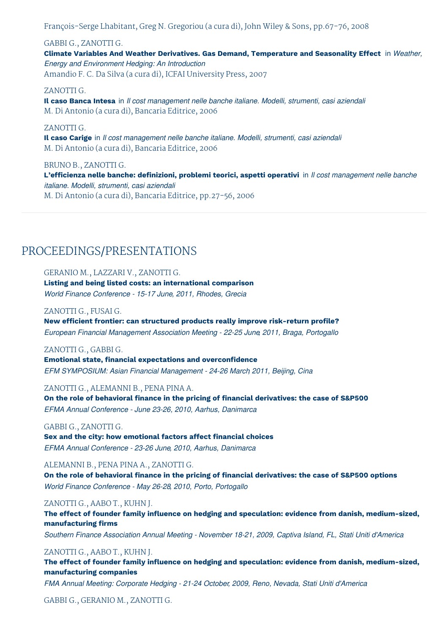François-Serge Lhabitant, Greg N. Gregoriou (a cura di), John Wiley & Sons, pp.67-76, 2008

#### GABBI G., ZANOTTI G.

**Climate Variables And Weather Derivatives. Gas Demand, Temperature and Seasonality Effect** in *Weather, Energy and Environment Hedging: An Introduction* Amandio F. C. Da Silva (a cura di), ICFAI University Press, 2007

#### ZANOTTI G.

**Il caso Banca Intesa** in *Il cost management nelle banche italiane. Modelli, strumenti, casi aziendali* M. Di Antonio (a cura di), Bancaria Editrice, 2006

#### ZANOTTI G.

**Il caso Carige** in *Il cost management nelle banche italiane. Modelli, strumenti, casi aziendali* M. Di Antonio (a cura di), Bancaria Editrice, 2006

#### BRUNO B., ZANOTTI G.

**L'efficienza nelle banche: definizioni, problemi teorici, aspetti operativi** in *Il cost management nelle banche italiane. Modelli, strumenti, casi aziendali* M. Di Antonio (a cura di), Bancaria Editrice, pp.27-56, 2006

### PROCEEDINGS/PRESENTATIONS

#### GERANIO M., LAZZARI V., ZANOTTI G.

#### **Listing and being listed costs: an international comparison**

*World Finance Conference - 15-17 June, 2011, Rhodes, Grecia*

#### ZANOTTI G., FUSAI G.

**New efficient frontier: can structured products really improve risk-return profile?** *European Financial Management Association Meeting - 22-25 June, 2011, Braga, Portogallo*

#### ZANOTTI G., GABBI G.

**Emotional state, financial expectations and overconfidence** *EFM SYMPOSIUM: Asian Financial Management - 24-26 March, 2011, Beijing, Cina*

#### ZANOTTI G., ALEMANNI B., PENA PINA A.

**On the role of behavioral finance in the pricing of financial derivatives: the case of S&P500** *EFMA Annual Conference - June 23-26, 2010, Aarhus, Danimarca*

#### GABBI G., ZANOTTI G.

**Sex and the city: how emotional factors affect financial choices** *EFMA Annual Conference - 23-26 June, 2010, Aarhus, Danimarca*

#### ALEMANNI B., PENA PINA A., ZANOTTI G.

**On the role of behavioral finance in the pricing of financial derivatives: the case of S&P500 options** *World Finance Conference - May 26-28, 2010, Porto, Portogallo*

#### ZANOTTI G., AABO T., KUHN J.

**The effect of founder family influence on hedging and speculation: evidence from danish, medium-sized, manufacturing firms**

*Southern Finance Association Annual Meeting - November 18-21, 2009, Captiva Island, FL, Stati Uniti d'America*

#### ZANOTTI G., AABO T., KUHN J.

**The effect of founder family influence on hedging and speculation: evidence from danish, medium-sized, manufacturing companies**

*FMA Annual Meeting: Corporate Hedging - 21-24 October, 2009, Reno, Nevada, Stati Uniti d'America*

#### GABBI G., GERANIO M., ZANOTTI G.